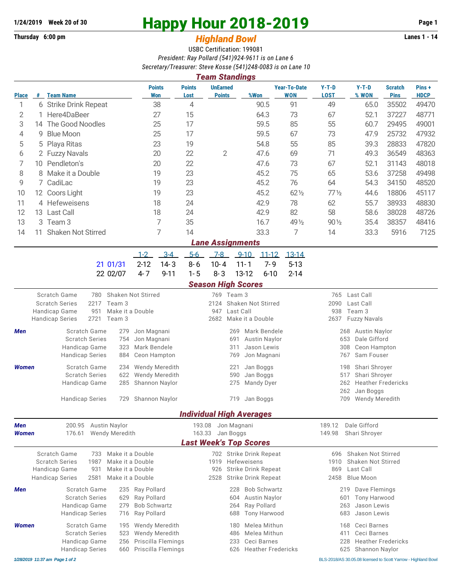## **Thursday 6:00 pm** *Highland Bowl*

## **1/24/2019** Week 20 of 30<br>
Thursday 6:00 pm<br> **Happy Hour 2018-2019 Page 1**<br> **Highland Rowl**

## USBC Certification: 199081 *President: Ray Pollard (541)924-9611 is on Lane 6 Secretary/Treasurer: Steve Kosse (541)248-0083 is on Lane 10*

| Secretary/Treasurer: Steve Kosse (54T)248-0083 is on Lane Tu<br><b>Team Standings</b> |    |                                                                                      |                             |                       |                                        |                                 |                                        |                                                    |                        |                               |                      |  |
|---------------------------------------------------------------------------------------|----|--------------------------------------------------------------------------------------|-----------------------------|-----------------------|----------------------------------------|---------------------------------|----------------------------------------|----------------------------------------------------|------------------------|-------------------------------|----------------------|--|
| <b>Place</b>                                                                          |    | # Team Name                                                                          | <b>Points</b><br><b>Won</b> | <b>Points</b><br>Lost | <b>UnEarned</b><br><b>Points</b>       | %Won                            | <b>Year-To-Date</b><br><b>WON</b>      | $Y-T-D$<br><b>LOST</b>                             | $Y-T-D$<br>% WON       | <b>Scratch</b><br><b>Pins</b> | Pins+<br><b>HDCP</b> |  |
| 1                                                                                     |    | 6 Strike Drink Repeat                                                                | 38                          | 4                     |                                        | 90.5                            | 91                                     | 49                                                 | 65.0                   | 35502                         | 49470                |  |
| 2                                                                                     | 1. | Here4DaBeer                                                                          | 27                          | 15                    |                                        | 64.3                            | 73                                     | 67                                                 | 52.1                   | 37227                         | 48771                |  |
| 3                                                                                     | 14 | The Good Noodles                                                                     | 25                          | 17                    | 59.5                                   |                                 | 85                                     | 55                                                 | 60.7                   | 29495                         | 49001                |  |
| 4                                                                                     | 9  | <b>Blue Moon</b>                                                                     | 25                          | 17                    |                                        | 59.5                            | 67                                     | 73                                                 | 47.9                   | 25732                         | 47932                |  |
| 5                                                                                     | 5  | Playa Ritas                                                                          | 23                          | 19                    |                                        | 54.8                            | 55                                     | 85                                                 | 39.3                   | 28833                         | 47820                |  |
| 6                                                                                     |    | 2 Fuzzy Navals                                                                       | 20                          | 22                    | 2                                      | 47.6                            | 69                                     | 71                                                 | 49.3                   | 36549                         | 48363                |  |
| 7                                                                                     |    | 10 Pendleton's                                                                       | 20                          | 22                    |                                        | 47.6                            | 73                                     | 67                                                 | 52.1                   | 31143                         | 48018                |  |
| 8                                                                                     | 8  | Make it a Double                                                                     | 19                          | 23                    |                                        | 45.2                            | 75                                     | 65                                                 | 53.6                   | 37258                         | 49498                |  |
| 9                                                                                     |    | 7 CadiLac                                                                            | 19                          | 23                    |                                        | 45.2                            | 76                                     | 64                                                 | 54.3                   | 34150                         | 48520                |  |
| 10                                                                                    |    | 12 Coors Light                                                                       | 19                          | 23                    |                                        | 45.2                            | $62\frac{1}{2}$                        | $77\frac{1}{2}$                                    | 44.6                   | 18806                         | 45117                |  |
| 11                                                                                    |    | 4 Hefeweisens                                                                        | 18                          | 24                    |                                        | 42.9                            | 78                                     | 62                                                 | 55.7                   | 38933                         | 48830                |  |
| 12                                                                                    |    | 13 Last Call                                                                         | 18                          | 24                    |                                        | 42.9                            | 82                                     | 58                                                 | 58.6                   | 38028                         | 48726                |  |
| 13                                                                                    |    | 3 Team 3                                                                             | 7                           | 35                    |                                        | 16.7                            | 49 1/2                                 | $90\frac{1}{2}$                                    | 35.4                   | 38357                         | 48416                |  |
| 14                                                                                    |    | 11 Shaken Not Stirred                                                                | 7                           | 14                    |                                        | 33.3                            | 7                                      | 14                                                 | 33.3                   | 5916                          | 7125                 |  |
|                                                                                       |    |                                                                                      |                             |                       | <b>Lane Assignments</b>                |                                 |                                        |                                                    |                        |                               |                      |  |
|                                                                                       |    |                                                                                      | $3-4$<br>$1 - 2$            | $5-6$                 | $7 - 8$                                | $9 - 10$<br>$11 - 12$           | 13-14                                  |                                                    |                        |                               |                      |  |
|                                                                                       |    | 21 01/31                                                                             | $14 - 3$<br>$2 - 12$        | $8 - 6$               | $10 - 4$                               | $11 - 1$                        | $7 - 9$<br>$5 - 13$                    |                                                    |                        |                               |                      |  |
|                                                                                       |    | 22 02/07                                                                             | $4 - 7$<br>$9 - 11$         | $1 - 5$               | $8 - 3$                                | 13-12<br>$6 - 10$               | $2 - 14$                               |                                                    |                        |                               |                      |  |
|                                                                                       |    |                                                                                      |                             |                       |                                        | <b>Season High Scores</b>       |                                        |                                                    |                        |                               |                      |  |
|                                                                                       |    | Scratch Game<br>780<br>Shaken Not Stirred                                            |                             |                       | 769 Team 3                             |                                 |                                        |                                                    | 765 Last Call          |                               |                      |  |
|                                                                                       |    | Team 3<br><b>Scratch Series</b><br>2217                                              |                             |                       | 2124                                   | Shaken Not Stirred              |                                        | 2090<br>Last Call                                  |                        |                               |                      |  |
|                                                                                       |    | Handicap Game<br>951<br>Make it a Double<br>2721<br>Team 3<br><b>Handicap Series</b> |                             |                       | 947<br>2682                            | Last Call<br>Make it a Double   |                                        | 938<br>Team 3<br>2637<br><b>Fuzzy Navals</b>       |                        |                               |                      |  |
|                                                                                       |    |                                                                                      |                             |                       |                                        |                                 |                                        |                                                    |                        |                               |                      |  |
| Men                                                                                   |    | Scratch Game<br>279<br><b>Scratch Series</b><br>754                                  | Jon Magnani<br>Jon Magnani  |                       | 269<br>691                             | Mark Bendele<br>Austin Naylor   |                                        | 268<br><b>Austin Naylor</b><br>Dale Gifford<br>653 |                        |                               |                      |  |
|                                                                                       |    | Handicap Game<br>323                                                                 | Mark Bendele                |                       | 311                                    | Jason Lewis                     |                                        | Ceon Hampton<br>308                                |                        |                               |                      |  |
|                                                                                       |    | <b>Handicap Series</b><br>884                                                        | Ceon Hampton                |                       | 769                                    | Jon Magnani                     |                                        | Sam Fouser<br>767                                  |                        |                               |                      |  |
| <b>Women</b>                                                                          |    | Scratch Game<br>234                                                                  | Wendy Meredith              |                       | 221                                    | Jan Boggs                       |                                        | Shari Shroyer<br>198                               |                        |                               |                      |  |
|                                                                                       |    | <b>Scratch Series</b><br>622                                                         | <b>Wendy Meredith</b>       |                       | 590                                    | Jan Boggs                       |                                        | Shari Shroyer<br>517                               |                        |                               |                      |  |
|                                                                                       |    | Handicap Game<br>285                                                                 | Shannon Naylor              |                       | 275                                    | Mandy Dyer                      |                                        |                                                    | 262                    | <b>Heather Fredericks</b>     |                      |  |
|                                                                                       |    | 729 Shannon Naylor<br><b>Handicap Series</b>                                         |                             |                       | 719 Jan Boggs                          |                                 | 262<br>Jan Boggs<br>709 Wendy Meredith |                                                    |                        |                               |                      |  |
|                                                                                       |    |                                                                                      |                             |                       |                                        |                                 |                                        |                                                    |                        |                               |                      |  |
| Men                                                                                   |    | 200.95 Austin Naylor                                                                 |                             |                       |                                        | <b>Individual High Averages</b> |                                        | 189.12                                             | Dale Gifford           |                               |                      |  |
| Women                                                                                 |    | Wendy Meredith<br>176.61                                                             |                             |                       | 193.08 Jon Magnani<br>163.33 Jan Boggs |                                 |                                        | 149.98<br>Shari Shroyer                            |                        |                               |                      |  |
|                                                                                       |    |                                                                                      |                             |                       |                                        | <b>Last Week's Top Scores</b>   |                                        |                                                    |                        |                               |                      |  |
|                                                                                       |    | Scratch Game<br>733 Make it a Double                                                 |                             |                       |                                        | 702 Strike Drink Repeat         |                                        |                                                    | 696 Shaken Not Stirred |                               |                      |  |

|              | <b>OUTBILL UBILIC</b>          | 733 IVIANE IL A DUUDIE |                        |      | <b><i>IVE</i></b> ULING DITIIN REPEAL |     | 020 OHANGILINUL OLIHCU  |
|--------------|--------------------------------|------------------------|------------------------|------|---------------------------------------|-----|-------------------------|
|              | <b>Scratch Series</b><br>1987  | Make it a Double       |                        |      | 1919 Hefeweisens                      |     | 1910 Shaken Not Stirred |
|              | Handicap Game<br>931           | Make it a Double       |                        |      | 926 Strike Drink Repeat               | 869 | Last Call               |
|              | <b>Handicap Series</b><br>2581 | Make it a Double       |                        |      | 2528 Strike Drink Repeat              |     | 2458 Blue Moon          |
| Men          | Scratch Game                   |                        | 235 Ray Pollard        | 228  | Bob Schwartz                          |     | 219 Dave Flemings       |
|              | <b>Scratch Series</b>          |                        | 629 Ray Pollard        |      | 604 Austin Naylor                     | 601 | Tony Harwood            |
|              | Handicap Game                  | 279                    | Bob Schwartz           |      | 264 Ray Pollard                       |     | 263 Jason Lewis         |
|              | <b>Handicap Series</b>         |                        | 716 Ray Pollard        |      | 688 Tony Harwood                      |     | 683 Jason Lewis         |
| <b>Women</b> | Scratch Game                   |                        | 195 Wendy Meredith     | 180. | Melea Mithun                          |     | 168 Ceci Barnes         |
|              | <b>Scratch Series</b>          | 523                    | Wendy Meredith         |      | 486 Melea Mithun                      | 411 | Ceci Barnes             |
|              | Handicap Game                  |                        | 256 Priscilla Flemings |      | 233 Ceci Barnes                       |     | 228 Heather Fredericks  |
|              | <b>Handicap Series</b>         |                        | 660 Priscilla Flemings |      | 626 Heather Fredericks                |     | 625 Shannon Naylor      |
|              |                                |                        |                        |      |                                       |     |                         |

*1/28/2019 11:37 am Page 1 of 2* BLS-2018/AS 30.05.08 licensed to Scott Yarrow - Highland Bowl